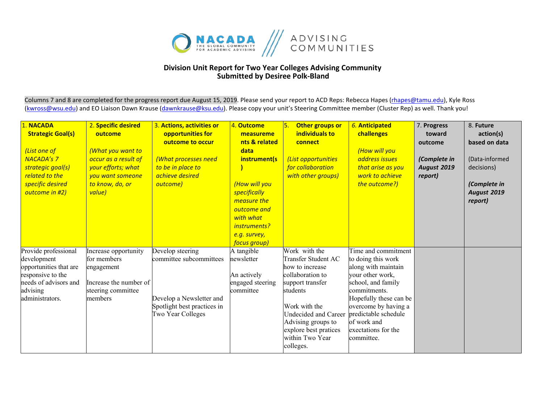

## **Division Unit Report for Two Year Colleges Advising Community Submitted by Desiree Polk-Bland**

Columns 7 and 8 are completed for the progress report due August 15, 2019. Please send your report to ACD Reps: Rebecca Hapes (rhapes@tamu.edu), Kyle Ross [\(kwross@wsu.edu\)](mailto:kwross@wsu.edu) and EO Liaison Dawn Krause (dawnkrause@ksu.edu). Please copy your unit's Steering Committee member (Cluster Rep) as well. Thank you!

| 1. NACADA<br><b>Strategic Goal(s)</b><br>(List one of<br><b>NACADA's 7</b><br>strategic goal(s)<br>related to the<br>specific desired<br>outcome in #2) | 2. Specific desired<br>outcome<br><b>What you want to</b><br>occur as a result of<br>your efforts; what<br>you want someone<br>to know, do, or<br>value) | 3. Actions, activities or<br>opportunities for<br>outcome to occur<br>(What processes need<br>to be in place to<br>achieve desired<br>outcome) | 4. Outcome<br>measureme<br>nts & related<br>data<br>instrument(s<br>(How will you<br>specifically<br>measure the<br>outcome and<br>with what<br>instruments?<br>e.g. survey,<br>focus group) | Other groups or<br>individuals to<br>connect<br>(List opportunities<br>for collaboration<br>with other groups)                                                                                                                      | 6. Anticipated<br>challenges<br>(How will you<br>address issues<br>that arise as you<br>work to achieve<br>the outcome?)                                                                                                                                 | 7. Progress<br>toward<br>outcome<br>(Complete in<br><b>August 2019</b><br>report) | 8. Future<br>action(s)<br>based on data<br>(Data-informed<br>decisions)<br>(Complete in<br><b>August 2019</b><br>report) |
|---------------------------------------------------------------------------------------------------------------------------------------------------------|----------------------------------------------------------------------------------------------------------------------------------------------------------|------------------------------------------------------------------------------------------------------------------------------------------------|----------------------------------------------------------------------------------------------------------------------------------------------------------------------------------------------|-------------------------------------------------------------------------------------------------------------------------------------------------------------------------------------------------------------------------------------|----------------------------------------------------------------------------------------------------------------------------------------------------------------------------------------------------------------------------------------------------------|-----------------------------------------------------------------------------------|--------------------------------------------------------------------------------------------------------------------------|
| Provide professional<br>development<br>opportunities that are<br>responsive to the<br>needs of advisors and<br>advising<br>administrators.              | Increase opportunity<br>for members<br>engagement<br>Increase the number of<br>steering committee<br>members                                             | Develop steering<br>committee subcommittees<br>Develop a Newsletter and<br>Spotlight best practices in<br>Two Year Colleges                    | A tangible<br>newsletter<br>An actively<br>engaged steering<br>committee                                                                                                                     | Work with the<br>Transfer Student AC<br>how to increase<br>collaboration to<br>support transfer<br>students<br>Work with the<br>Undecided and Career<br>Advising groups to<br>explore best pratices<br>within Two Year<br>colleges. | Time and commitment<br>to doing this work<br>along with maintain<br>your other work,<br>school, and family<br>commitments.<br>Hopefully these can be<br>overcome by having a<br>predictable schedule<br>of work and<br>exectations for the<br>committee. |                                                                                   |                                                                                                                          |